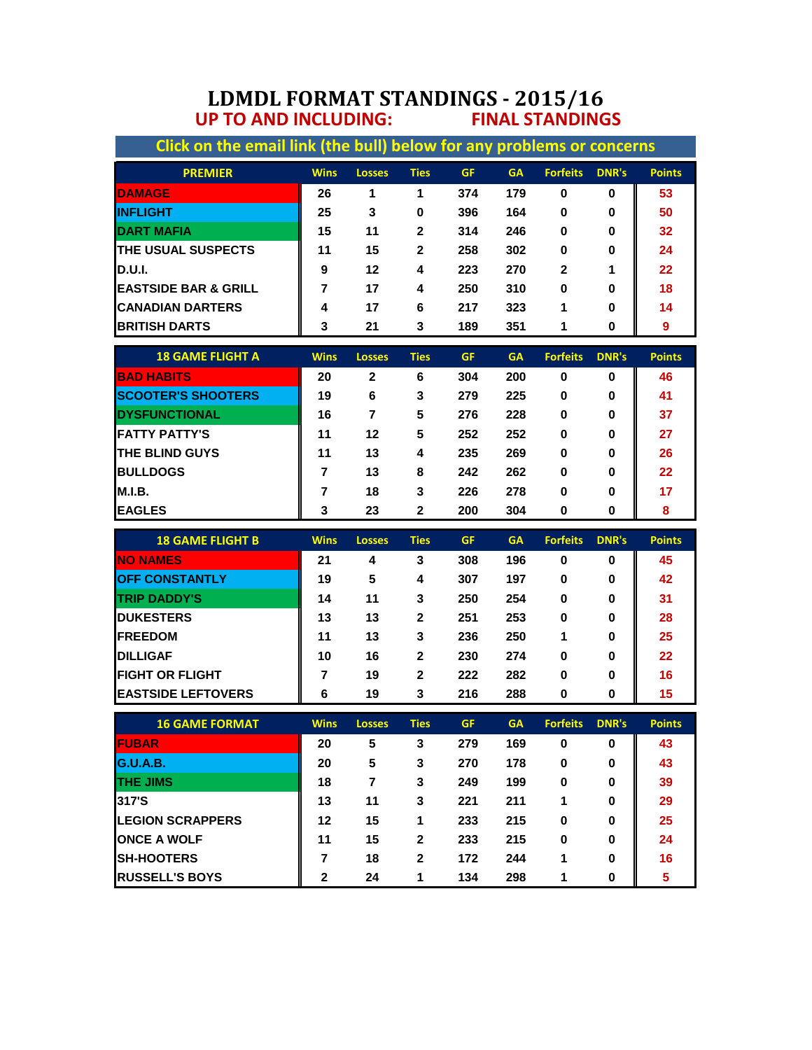## **LDMDL FORMAT STANDINGS - 2015/16 UP TO AND INCLUDING: FINAL STANDINGS**

| Click on the email link (the bull) below for any problems or concerns |                |                |              |           |           |                 |              |               |  |  |
|-----------------------------------------------------------------------|----------------|----------------|--------------|-----------|-----------|-----------------|--------------|---------------|--|--|
| <b>PREMIER</b>                                                        | <b>Wins</b>    | <b>Losses</b>  | <b>Ties</b>  | <b>GF</b> | <b>GA</b> | <b>Forfeits</b> | <b>DNR's</b> | <b>Points</b> |  |  |
| <b>DAMAGE</b>                                                         | 26             | 1              | 1            | 374       | 179       | 0               | 0            | 53            |  |  |
| <b>INFLIGHT</b>                                                       | 25             | 3              | 0            | 396       | 164       | $\bf{0}$        | 0            | 50            |  |  |
| <b>DART MAFIA</b>                                                     | 15             | 11             | $\mathbf{2}$ | 314       | 246       | $\bf{0}$        | 0            | 32            |  |  |
| THE USUAL SUSPECTS                                                    | 11             | 15             | $\mathbf{2}$ | 258       | 302       | 0               | 0            | 24            |  |  |
| <b>D.U.I.</b>                                                         | 9              | 12             | 4            | 223       | 270       | $\mathbf{2}$    | 1            | 22            |  |  |
| <b>EASTSIDE BAR &amp; GRILL</b>                                       | $\overline{7}$ | 17             | 4            | 250       | 310       | 0               | 0            | 18            |  |  |
| <b>CANADIAN DARTERS</b>                                               | 4              | 17             | 6            | 217       | 323       | 1               | 0            | 14            |  |  |
| <b>BRITISH DARTS</b>                                                  | 3              | 21             | 3            | 189       | 351       | 1               | 0            | 9             |  |  |
| <b>18 GAME FLIGHT A</b>                                               | <b>Wins</b>    | <b>Losses</b>  | <b>Ties</b>  | <b>GF</b> | <b>GA</b> | <b>Forfeits</b> | <b>DNR's</b> | <b>Points</b> |  |  |
| <b>BAD HABITS</b>                                                     | 20             | $\mathbf{2}$   | 6            | 304       | 200       | 0               | 0            | 46            |  |  |
| <b>SCOOTER'S SHOOTERS</b>                                             | 19             | 6              | 3            | 279       | 225       | 0               | 0            | 41            |  |  |
| <b>DYSFUNCTIONAL</b>                                                  | 16             | $\overline{7}$ | 5            | 276       | 228       | 0               | 0            | 37            |  |  |
| <b>FATTY PATTY'S</b>                                                  | 11             | 12             | 5            | 252       | 252       | 0               | 0            | 27            |  |  |
| THE BLIND GUYS                                                        | 11             | 13             | 4            | 235       | 269       | 0               | 0            | 26            |  |  |
| <b>BULLDOGS</b>                                                       | 7              | 13             | 8            | 242       | 262       | 0               | 0            | 22            |  |  |
| <b>M.I.B.</b>                                                         | 7              | 18             | 3            | 226       | 278       | 0               | 0            | 17            |  |  |
| <b>EAGLES</b>                                                         | 3              | 23             | $\mathbf{2}$ | 200       | 304       | 0               | 0            | 8             |  |  |
|                                                                       |                |                |              |           |           |                 |              |               |  |  |
| <b>18 GAME FLIGHT B</b>                                               | <b>Wins</b>    | <b>Losses</b>  | <b>Ties</b>  | <b>GF</b> | <b>GA</b> | <b>Forfeits</b> | <b>DNR's</b> | <b>Points</b> |  |  |
| <b>NO NAMES</b>                                                       | 21             | 4              | 3            | 308       | 196       | 0               | 0            | 45            |  |  |
| <b>OFF CONSTANTLY</b>                                                 | 19             | 5              | 4            | 307       | 197       | 0               | 0            | 42            |  |  |
| <b>TRIP DADDY'S</b>                                                   | 14             | 11             | 3            | 250       | 254       | 0               | 0            | 31            |  |  |
| <b>DUKESTERS</b>                                                      | 13             | 13             | $\mathbf{2}$ | 251       | 253       | 0               | 0            | 28            |  |  |
| <b>FREEDOM</b>                                                        | 11             | 13             | 3            | 236       | 250       | 1               | U            | 25            |  |  |
| <b>DILLIGAF</b>                                                       | 10             | 16             | $\mathbf 2$  | 230       | 274       | 0               | 0            | 22            |  |  |
| <b>FIGHT OR FLIGHT</b>                                                | 7              | 19             | $\mathbf{2}$ | 222       | 282       | 0               | 0            | 16            |  |  |
| <b>EASTSIDE LEFTOVERS</b>                                             | 6              | 19             | 3            | 216       | 288       | 0               | 0            | 15            |  |  |

| <b>16 GAME FORMAT</b>   | <b>Wins</b> | <b>Losses</b> | <b>Ties</b> | <b>GF</b> | <b>GA</b> | <b>Forfeits</b> | <b>DNR's</b> | <b>Points</b> |
|-------------------------|-------------|---------------|-------------|-----------|-----------|-----------------|--------------|---------------|
| <b>FUBAR</b>            | 20          | 5             | 3           | 279       | 169       | 0               | 0            | 43            |
| G.U.A.B.                | 20          | 5             | 3           | 270       | 178       | 0               | 0            | 43            |
| <b>ITHE JIMS</b>        | 18          | 7             | 3           | 249       | 199       | 0               | 0            | 39            |
| 317'S                   | 13          | 11            | 3           | 221       | 211       |                 | 0            | 29            |
| <b>LEGION SCRAPPERS</b> | 12          | 15            | 1           | 233       | 215       | 0               | 0            | 25            |
| <b>ONCE A WOLF</b>      | 11          | 15            | $\mathbf 2$ | 233       | 215       | $\bf{0}$        | $\bf{0}$     | 24            |
| <b>ISH-HOOTERS</b>      |             | 18            | 2           | 172       | 244       |                 | $\bf{0}$     | 16            |
| <b>RUSSELL'S BOYS</b>   | 2           | 24            | 1           | 134       | 298       |                 | $\bf{0}$     |               |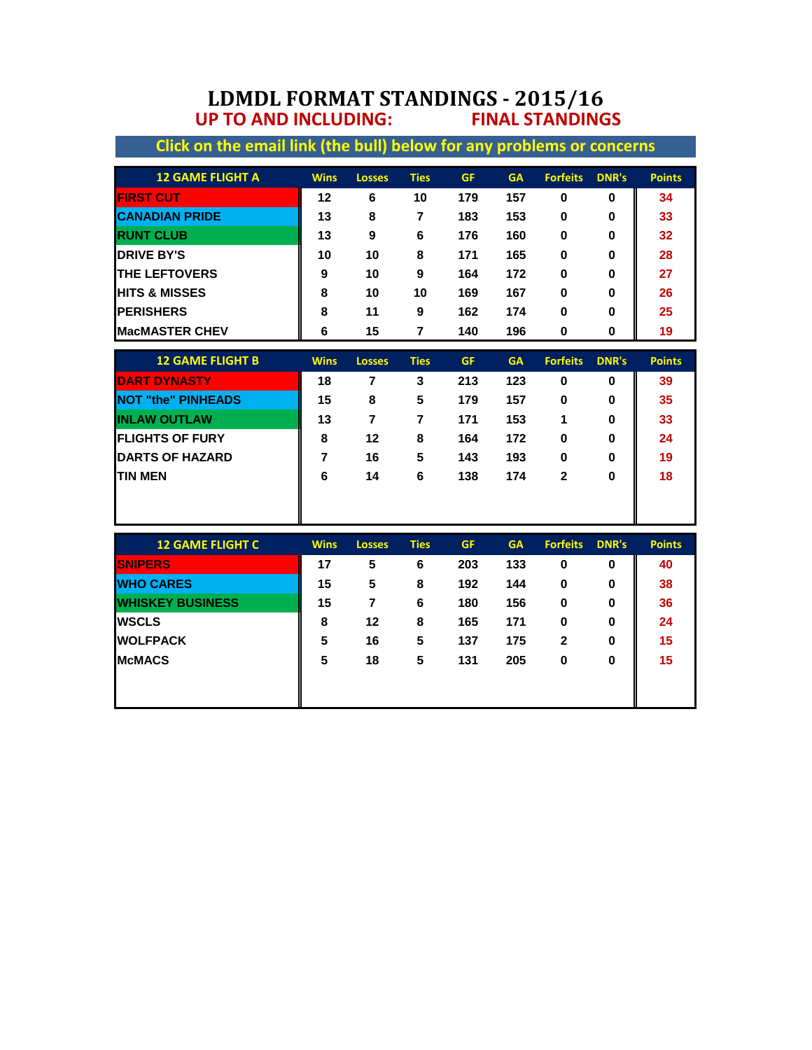## **LDMDL FORMAT STANDINGS - 2015/16 UP TO AND INCLUDING: FINAL STANDINGS**

| Click on the email link (the bull) below for any problems or concerns |                |                |                |           |           |                 |              |               |
|-----------------------------------------------------------------------|----------------|----------------|----------------|-----------|-----------|-----------------|--------------|---------------|
| <b>12 GAME FLIGHT A</b>                                               | <b>Wins</b>    | <b>Losses</b>  | <b>Ties</b>    | <b>GF</b> | <b>GA</b> | <b>Forfeits</b> | <b>DNR's</b> | <b>Points</b> |
| <b>FIRST CUT</b>                                                      | 12             | 6              | 10             | 179       | 157       | $\bf{0}$        | 0            | 34            |
| <b>CANADIAN PRIDE</b>                                                 | 13             | 8              | $\overline{7}$ | 183       | 153       | $\bf{0}$        | $\bf{0}$     | 33            |
| <b>RUNT CLUB</b>                                                      | 13             | 9              | 6              | 176       | 160       | 0               | 0            | 32            |
| <b>DRIVE BY'S</b>                                                     | 10             | 10             | 8              | 171       | 165       | $\bf{0}$        | 0            | 28            |
| <b>THE LEFTOVERS</b>                                                  | 9              | 10             | 9              | 164       | 172       | 0               | 0            | 27            |
| <b>HITS &amp; MISSES</b>                                              | 8              | 10             | 10             | 169       | 167       | $\bf{0}$        | $\bf{0}$     | 26            |
| <b>PERISHERS</b>                                                      | 8              | 11             | 9              | 162       | 174       | 0               | 0            | 25            |
| <b>MacMASTER CHEV</b>                                                 | 6              | 15             | 7              | 140       | 196       | 0               | 0            | 19            |
| <b>12 GAME FLIGHT B</b>                                               | <b>Wins</b>    | <b>Losses</b>  | <b>Ties</b>    | <b>GF</b> | <b>GA</b> | <b>Forfeits</b> | <b>DNR's</b> | <b>Points</b> |
| <b>IDART DYNASTY</b>                                                  | 18             | $\overline{7}$ | 3              | 213       | 123       | $\mathbf 0$     | 0            | 39            |
| <b>NOT "the" PINHEADS</b>                                             | 15             | 8              | 5              | 179       | 157       | $\mathbf 0$     | 0            | 35            |
| <b>INLAW OUTLAW</b>                                                   | 13             | $\overline{7}$ | $\overline{7}$ | 171       | 153       | 1               | 0            | 33            |
| <b>FLIGHTS OF FURY</b>                                                | 8              | 12             | 8              | 164       | 172       | $\bf{0}$        | 0            | 24            |
| <b>DARTS OF HAZARD</b>                                                | $\overline{7}$ | 16             | 5              | 143       | 193       | $\bf{0}$        | 0            | 19            |
| <b>TIN MEN</b>                                                        | 6              | 14             | 6              | 138       | 174       | $\mathbf{2}$    | 0            | 18            |
|                                                                       |                |                |                |           |           |                 |              |               |
|                                                                       |                |                |                |           |           |                 |              |               |
| <b>12 GAME FLIGHT C</b>                                               | <b>Wins</b>    | <b>Losses</b>  | <b>Ties</b>    | <b>GF</b> | <b>GA</b> | <b>Forfeits</b> | <b>DNR's</b> | <b>Points</b> |
| <b>ISNIPERS</b>                                                       | 17             | 5              | 6              | 203       | 133       | $\bf{0}$        | 0            | 40            |
| <b>WHO CARES</b>                                                      | 15             | 5              | 8              | 192       | 144       | 0               | 0            | 38            |
| <b>WHISKEY BUSINESS</b>                                               | 15             | $\overline{7}$ | 6              | 180       | 156       | 0               | 0            | 36            |
| <b>WSCLS</b>                                                          | 8              | 12             | 8              | 165       | 171       | 0               | 0            | 24            |
| <b>WOLFPACK</b>                                                       | 5              | 16             | 5              | 137       | 175       | $\mathbf{2}$    | 0            | 15            |
| <b>McMACS</b>                                                         | 5              | 18             | 5              | 131       | 205       | 0               | 0            | 15            |
|                                                                       |                |                |                |           |           |                 |              |               |